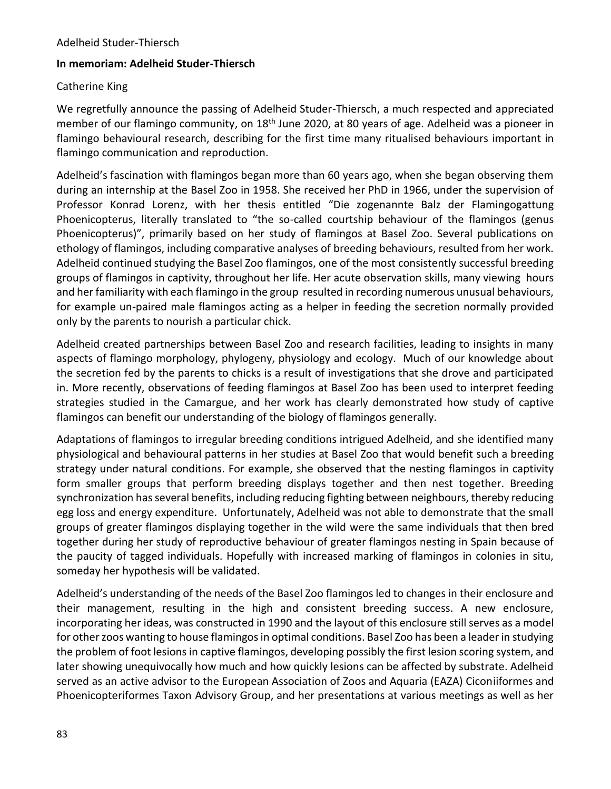## **In memoriam: Adelheid Studer-Thiersch**

## Catherine King

We regretfully announce the passing of Adelheid Studer-Thiersch, a much respected and appreciated member of our flamingo community, on 18<sup>th</sup> June 2020, at 80 years of age. Adelheid was a pioneer in flamingo behavioural research, describing for the first time many ritualised behaviours important in flamingo communication and reproduction.

Adelheid's fascination with flamingos began more than 60 years ago, when she began observing them during an internship at the Basel Zoo in 1958. She received her PhD in 1966, under the supervision of Professor Konrad Lorenz, with her thesis entitled "Die zogenannte Balz der Flamingogattung Phoenicopterus, literally translated to "the so-called courtship behaviour of the flamingos (genus Phoenicopterus)", primarily based on her study of flamingos at Basel Zoo. Several publications on ethology of flamingos, including comparative analyses of breeding behaviours, resulted from her work. Adelheid continued studying the Basel Zoo flamingos, one of the most consistently successful breeding groups of flamingos in captivity, throughout her life. Her acute observation skills, many viewing hours and her familiarity with each flamingo in the group resulted in recording numerous unusual behaviours, for example un-paired male flamingos acting as a helper in feeding the secretion normally provided only by the parents to nourish a particular chick.

Adelheid created partnerships between Basel Zoo and research facilities, leading to insights in many aspects of flamingo morphology, phylogeny, physiology and ecology. Much of our knowledge about the secretion fed by the parents to chicks is a result of investigations that she drove and participated in. More recently, observations of feeding flamingos at Basel Zoo has been used to interpret feeding strategies studied in the Camargue, and her work has clearly demonstrated how study of captive flamingos can benefit our understanding of the biology of flamingos generally.

Adaptations of flamingos to irregular breeding conditions intrigued Adelheid, and she identified many physiological and behavioural patterns in her studies at Basel Zoo that would benefit such a breeding strategy under natural conditions. For example, she observed that the nesting flamingos in captivity form smaller groups that perform breeding displays together and then nest together. Breeding synchronization has several benefits, including reducing fighting between neighbours, thereby reducing egg loss and energy expenditure. Unfortunately, Adelheid was not able to demonstrate that the small groups of greater flamingos displaying together in the wild were the same individuals that then bred together during her study of reproductive behaviour of greater flamingos nesting in Spain because of the paucity of tagged individuals. Hopefully with increased marking of flamingos in colonies in situ, someday her hypothesis will be validated.

Adelheid's understanding of the needs of the Basel Zoo flamingos led to changes in their enclosure and their management, resulting in the high and consistent breeding success. A new enclosure, incorporating her ideas, was constructed in 1990 and the layout of this enclosure still serves as a model for other zoos wanting to house flamingos in optimal conditions. Basel Zoo has been a leader in studying the problem of foot lesions in captive flamingos, developing possibly the first lesion scoring system, and later showing unequivocally how much and how quickly lesions can be affected by substrate. Adelheid served as an active advisor to the European Association of Zoos and Aquaria (EAZA) Ciconiiformes and Phoenicopteriformes Taxon Advisory Group, and her presentations at various meetings as well as her